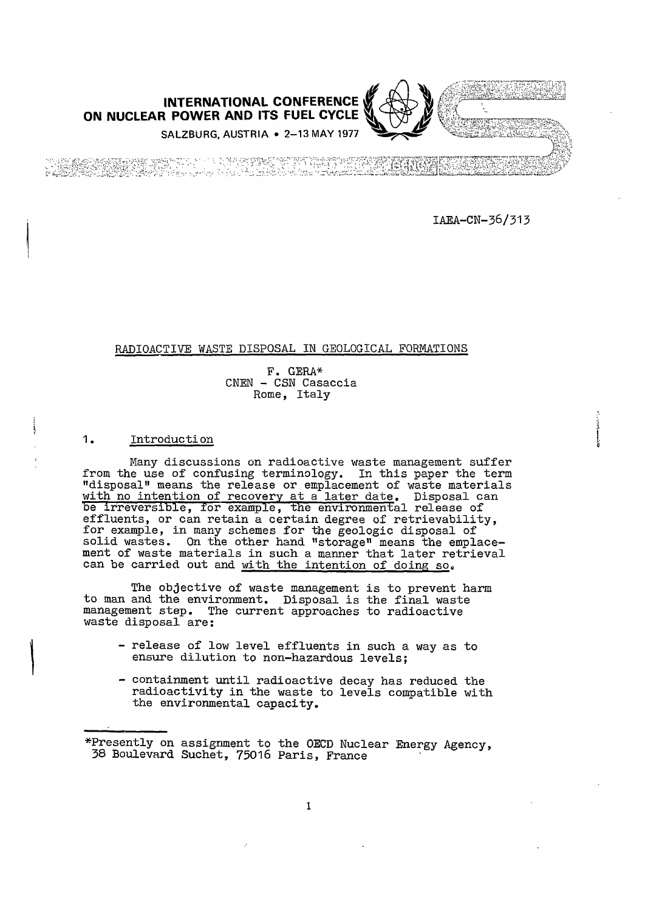

IAEA-CN-36/313

## RADIOACTIVE WASTE DISPOSAL IN GEOLOGICAL FORMATIONS

F. GERA\* CNEN - CSN Casaccia Rome, Italy

# 1. Introducti on

Many discussions on radioactive waste management suffer from the use of confusing terminology. In this paper the term "disposal" means the release or emplacement of waste materials with no intention of recovery at a later date. Disposal can be irreversible, for example, the environmental release of effluents, or can retain a certain degree of retrievability, for example, in many schemes for the geologic disposal of solid wastes. On the other hand "storage" means the emplacement of waste materials in such a manner that later retrieval can be carried out and with the intention of doing so.

The objective of waste management is to prevent harm to man and the environment. Disposal is the final waste management step. The current approaches to radioactive waste disposal are:

- release of low level effluents in such a way as to ensure dilution to non-hazardous levels;
- containment until radioactive decay has reduced the radioactivity in the waste to levels compatible with the environmental capacity.

\*Presently on assignment to the OECD Nuclear Energy Agency, 38 Boulevard Suchet, 75016 Paris, France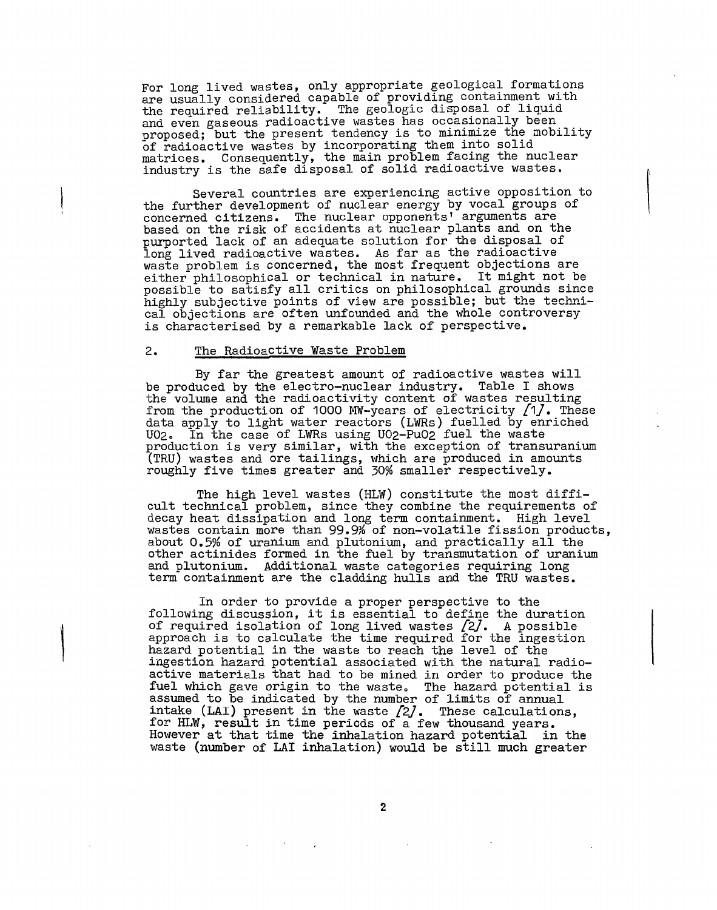For long lived wastes, only appropriate geological formations are usually considered capable of providing containment with the required reliability. The geologic disposal of liquid and even gaseous radioactive wastes has occasionally been proposed; but the present tendency is to minimize the mobility of radioactive wastes by incorporating them into solid matrices. Consequently, the main problem facing the nuclear industry is the safe disposal of solid radioactive wastes.

Several countries are experiencing active opposition to the further development of nuclear energy by vocal groups of concerned citizens. The nuclear opponents' arguments are based on the risk of accidents at nuclear plants and on the purported lack of an adequate solution for the disposal of long lived radioactive wastes. As far as the radioactive waste problem is concerned, the most frequent objections are either philosophical or technical in nature. It might not be possible to satisfy all critics on philosophical grounds since highly subjective points of view are possible; but the technical objections are often unfounded and the whole controversy is characterised by a remarkable lack of perspective.

#### 2. The Radioactive Waste Problem

By far the greatest amount of radioactive wastes will be produced by the electro-nuclear industry. Table I shows the volume and the radioactivity content of wastes resulting from the production of 1000 MW-years of electricity  $[1]$ . These data apply to light water reactors (LWRs) fuelled by enriched U02» In the case of LWRs using U02-Pu02 fuel the waste production is very similar, with the exception of transuranium (TRU) wastes and ore tailings, which are produced in amounts roughly five times greater and 30% smaller respectively.

The high level wastes (HLW) constitute the most difficult technical problem, since they combine the requirements of decay heat dissipation and long term containment. High level wastes contain more than 99.9% of non-volatile fission products, about Q.5% of uranium and plutonium, and practically all the other actinides formed in the fuel by transmutation of uranium and plutonium. Additional waste categories requiring long term containment are the cladding hulls and the TRU wastes.

In order to provide a proper perspective to the following discussion, it is essential to define the duration of required isolation of long lived wastes  $\emph{[2]}$ . A possible approach is to calculate the time required for the ingestion hazard potential in the waste to reach the level of the ingestion hazard potential associated with the natural radioactive materials that had to be mined in order to produce the fuel which gave origin to the waste. The hazard potential is assumed to be indicated by the number of limits of annual intake (LAI) present in the waste  $2j$ . These calculations, for HLW, result in time periods of a few thousand years. However at that time the inhalation hazard potential in the waste (number of LAI inhalation) would be still much greater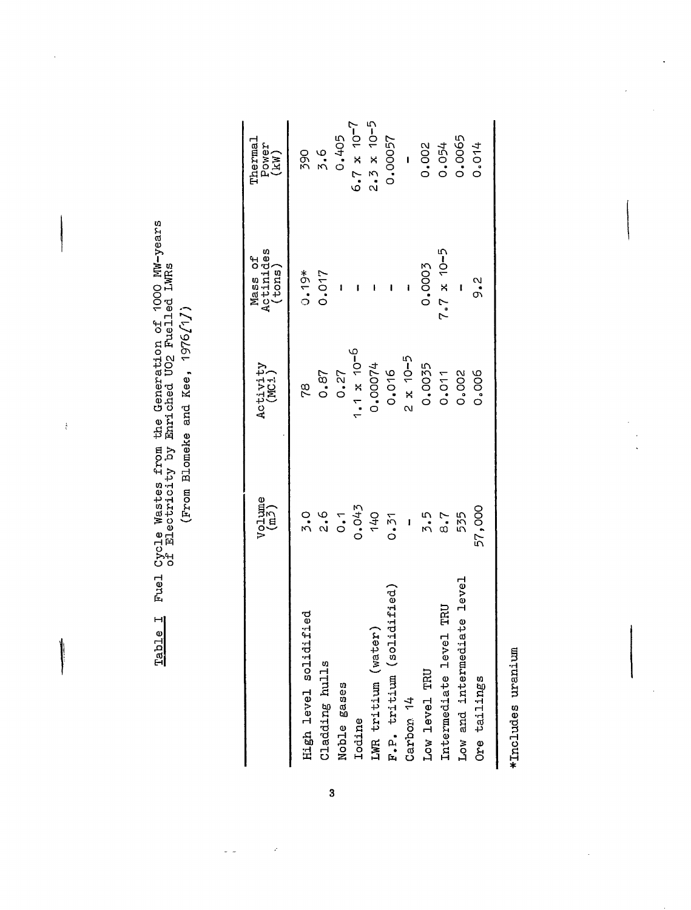| Fuel Cycle Wastes from the Generation of 1000 NW-years<br>of Electricity by Enriched UO2 Fuelled LWRs | $\ddot{\phantom{a}}$ |
|-------------------------------------------------------------------------------------------------------|----------------------|
| <u>Table I</u>                                                                                        |                      |

 $\frac{1}{2}$ 

۱

vo 03 •d $\vec{a}$ eke 5 Prom Bl

|                                | $V_{\text{c}1 \text{ume}}^{\text{l} \text{ume}}$ | Activity<br>(MCi)     | Mass of<br>Actinides<br>(tons) | Thermal<br>Power<br>(kW) |
|--------------------------------|--------------------------------------------------|-----------------------|--------------------------------|--------------------------|
| High level solidified          | 5.0                                              | rø                    | $0.19*$                        | <b>290</b>               |
| Cladding hulls                 | 2.6                                              | 0.87                  | 0.017                          | $3.6$<br>0.405           |
| Noble gases                    | 0.1                                              | 0.27                  |                                |                          |
| Iodine                         | 0.043                                            | $-0.7 \times 10^{-6}$ |                                | $6.7 \times 10^{-7}$     |
| LWR tritium (water)            | <b>140</b>                                       | 1,00074               |                                | $2.3 \times 10^{-5}$     |
| ಕ<br>F.P. tritium (solidifi    | 0.51                                             | 0.016                 |                                | 0.00057                  |
| Carbon 14                      |                                                  | $2 \times 10-5$       |                                | $\overline{1}$           |
| Low level TRU                  | 7.5                                              | 0.0035                | 0.0003                         | 0.002                    |
| Intermediate level TRU         | 8.7                                              | 0.011                 | $7.7 \times 10^{-5}$           | 0.054                    |
| evel<br>Low and intermediate 1 | 535                                              | 0.002                 |                                | 0.0065                   |
| Ore tailings                   | 57,000                                           | 0.006                 | $\frac{2}{3}$                  | 0.014                    |
|                                |                                                  |                       |                                |                          |

g5•H£Jይ<br>አ 3ludes HM\*

ł

 $\overline{\mathbf{3}}$ 

ý

 $\overline{a}$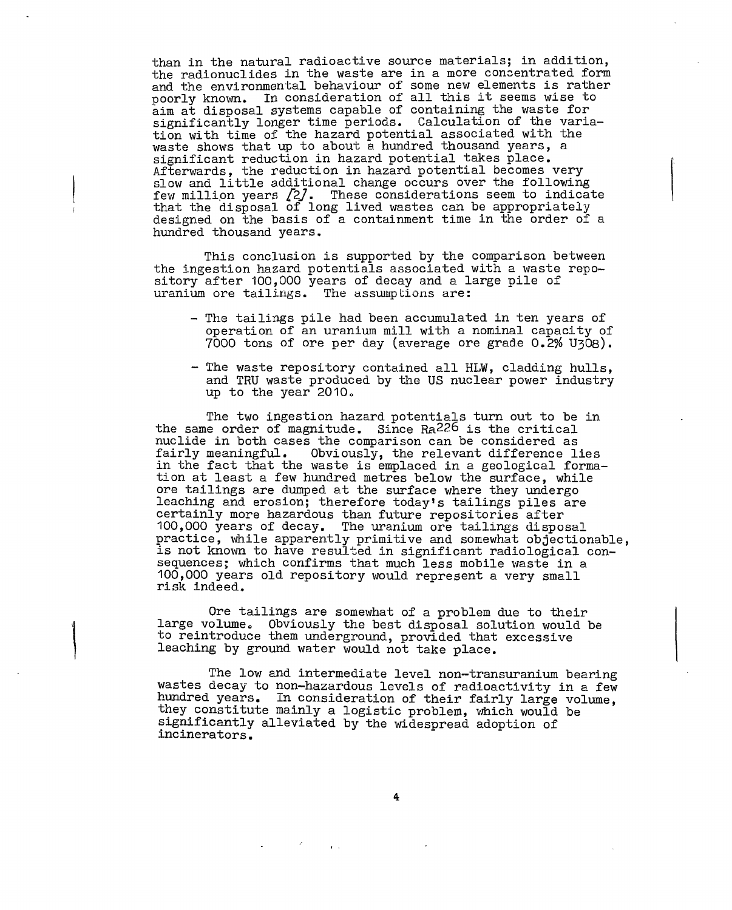than in the natural radioactive source materials; in addition, the radionuclides in the waste are in a more concentrated form and the environmental behaviour of some new elements is rather poorly known. In consideration of all this it seems wise to aim at disposal systems capable of containing the waste for significantly longer time periods. Calculation of the variation with time of the hazard potential associated with the waste shows that up to about a hundred thousand years, a significant reduction in hazard potential takes place. Afterwards, the reduction in hazard potential becomes very slow and little additional change occurs over the following few million years  $\emph{[2]}$ . These considerations seem to indicate that the disposal of long lived wastes can be appropriately designed on the basis of a containment time in the order of a hundred thousand years.

This conclusion is supported by the comparison between the ingestion hazard potentials associated with a waste repository after 100,000 years of decay and a large pile of uranium ore tailings. The assumptions are:

- The tailings pile had been accumulated in ten years of operation of an uranium mill with a nominal capacity of 7000 tons of ore per day (average ore grade 0.2% UjOs).
- The waste repository contained all HLW, cladding hulls, and TRU waste produced by the US nuclear power industry up to the year  $2010$ .

The two ingestion hazard potentials turn out to be in the same order of magnitude. Since Ra226 is the critical nuclide in both cases the comparison can be considered as fairly meaningful. Obviously, the relevant difference l Obviously, the relevant difference lies in the fact that the waste is emplaced in a geological formation at least a few hundred metres below the surface, while ore tailings are dumped at the surface where they undergo leaching and erosion; therefore today's tailings piles are certainly more hazardous than future repositories after 100,000 years of decay. The uranium ore tailings disposal practice, while apparently primitive and somewhat objectionable, is not known to have resulted in significant radiological consequences; which confirms that much less mobile waste in a 100,000 years old repository would represent a very small risk indeed.

Ore tailings are somewhat of a problem due to their large volume. Obviously the best disposal solution would be to reintroduce them underground, provided that excessive leaching by ground water would not take place.

The low and intermediate level non-transuranium bearing wastes decay to non-hazardous levels of radioactivity in a few hundred years. In consideration of their fairly large volume, they constitute mainly a logistic problem, which would be significantly alleviated by the widespread adoption of incinerators.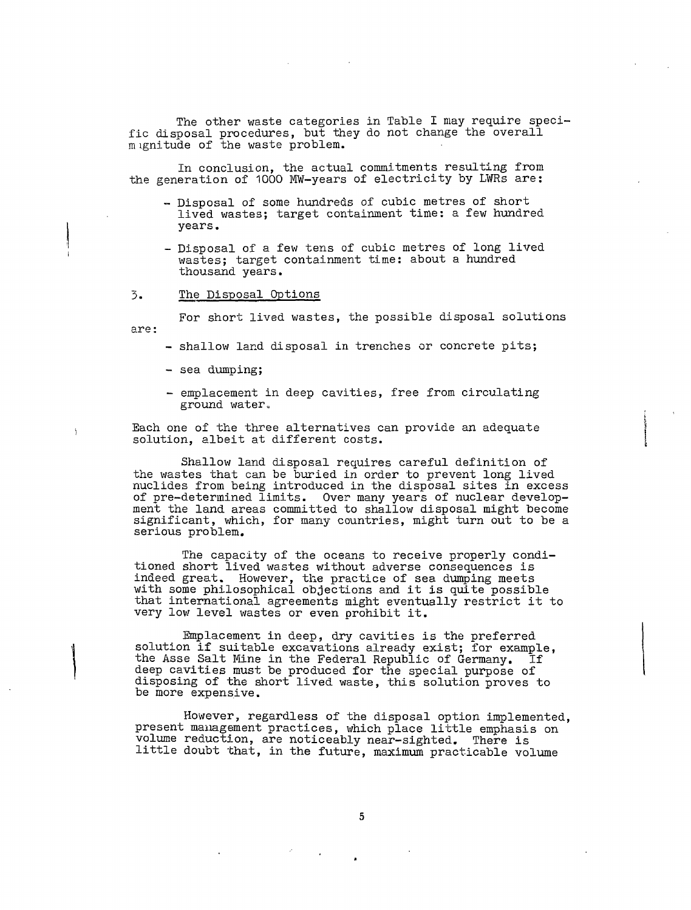The other waste categories in Table I may require specific disposal procedures, but they do not change the overall m ignitude of the waste problem.

In conclusion, the actual commitments resulting from the generation of 1000 MW-years of electricity by LWRs are:

- Disposal of some hundreds of cubic metres of short lived wastes; target containment time: a few hundred years.
- Disposal of a few tens of cubic metres of long lived wastes; target containment time: about a hundred thousand years.
- 3. The Disposal Options

For short lived wastes, the possible disposal solutions are:

- shallow land disposal in trenches or concrete pits;
- sea dumping;
- emplacement in deep cavities, free from circulating ground water.

Each one of the three alternatives can provide an adequate solution, albeit at different costs.

Shallow land disposal requires careful definition of the wastes that can be buried in order to prevent long lived nuclides from being introduced in the disposal sites in excess of pre-determined limits. Over many years of nuclear development the land areas committed to shallow disposal might become significant, which, for many countries, might turn out to be a serious problem.

The capacity of the oceans to receive properly conditioned short lived wastes without adverse consequences is indeed great. However, the practice of sea dumping meets with some philosophical objections and it is quite possible that international agreements might eventually restrict it to very low level wastes or even prohibit it.

Emplacement in deep, dry cavities is the preferred solution if suitable excavations already exist; for example, the Asse Salt Mine in the Federal Republic of Germany. If deep cavities must be produced for the special purpose of disposing of the short lived waste, this solution proves to be more expensive.

However, regardless of the disposal option implemented, present management practices, which place little emphasis on volume reduction, are noticeably near-sighted. There is little doubt that, in the future, maximum practicable volume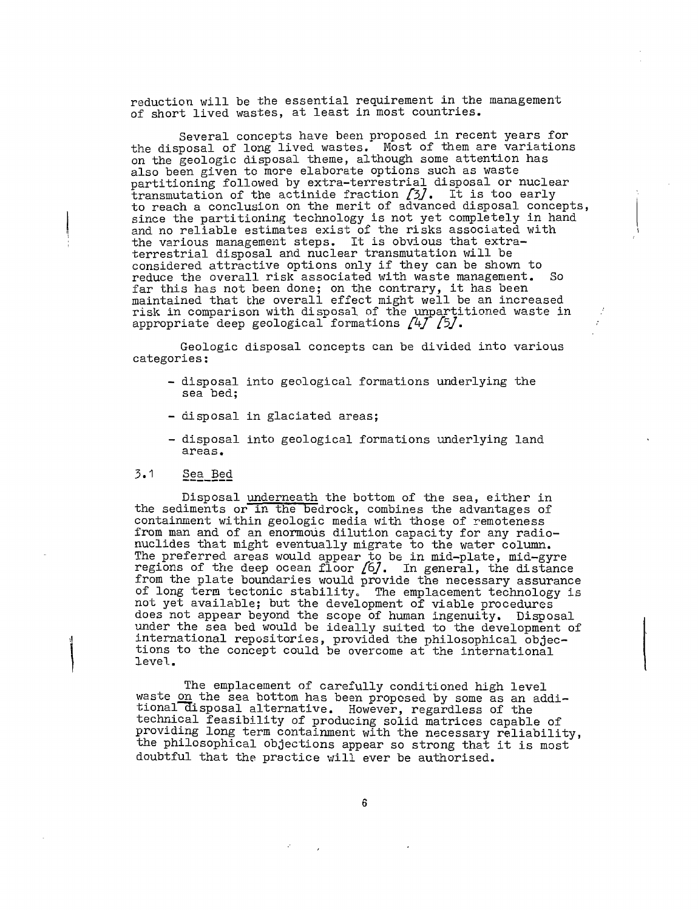reduction will be the essential requirement in the management of short lived wastes, at least in most countries.

Several concepts have been proposed in recent years for the disposal of long lived wastes. Most of them are variations on the geologic disposal theme, although some attention has also been given to more elaborate options such as waste partitioning followed by extra-terrestrial disposal or nuclear transmutation of the actinide fraction  $[3]$ . It is too early to reach a conclusion on the merit of advanced disposal concepts, since the partitioning technology is not yet completely in hand and no reliable estimates exist of the risks associated with the various management steps. It is obvious that extraterrestrial disposal and nuclear transmutation will be considered attractive options only if they can be shown to reduce the overall risk associated with waste management. far this has not been done: on the contrary, it has been maintained that the overall effect might well be an increased risk in comparison with disposal of the unpartitioned waste in appropriate deep geological formations  $\sqrt{4f}$   $\sqrt{5f}$ .

Geologic disposal concepts can be divided into various categories:

- disposal into geological formations underlying the sea bed;
- disposal in glaciated areas;
- disposal into geological formations underlying land areas.

# 3.1 §ea\_Bed

Disposal underneath the bottom of the sea, either in the sediments or in the bedrock, combines the advantages of containment within geologic media with those of remoteness from man and of an enormous dilution capacity for any radionuclides that might eventually migrate to the water column. The preferred areas would appear to be in mid-plate, mid-gyre regions of the deep ocean floor  $/6/$ . In general, the distance from the plate boundaries would provide the necessary assurance of long term tectonic stability. The emplacement technology is not yet available; but the development of viable procedures does not appear beyond the scope of human ingenuity. Disposal under the sea bed would be ideally suited to the development of international repositories, provided the philosophical objections to the concept could be overcome at the international level.

The emplacement of carefully conditioned high level waste <u>on</u> the sea bottom has been proposed by some as an additional disposal alternative. However, regardless of the technical feasibility of producing solid matrices capable of providing long term containment with the necessary reliability, the philosophical objections appear so strong that it is most doubtful that the practice will ever be authorised.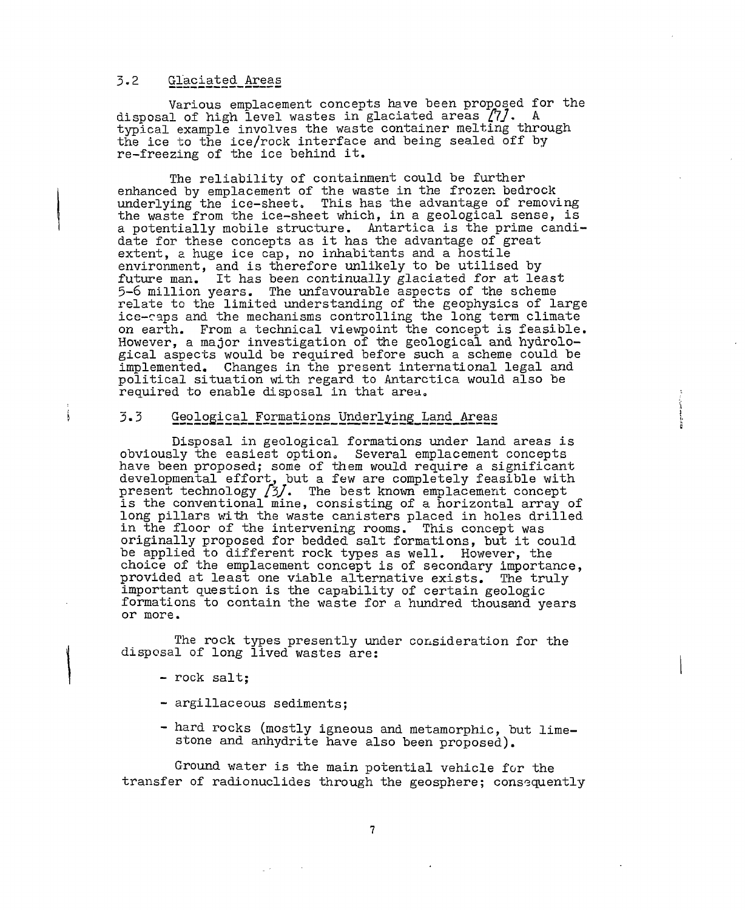# 3.2 Glaciated Areas

Various emplacement concepts have been proposed for the disposal of high level wastes in glaciated areas  $[7]$ . A typical example involves the waste container melting through the ice to the ice/rock interface and being sealed off by re-freezing of the ice behind it.

The reliability of containment could be further enhanced by emplacement of the waste in the frozen bedrock underlying the ice-sheet. This has the advantage of removing the waste from the ice-sheet which, in a geological sense, is a potentially mobile structure. Antartica is the prime candidate for these concepts as it has the advantage of great extent, a huge ice cap, no inhabitants and a hostile environment, and is therefore unlikely to be utilised by future man. It has been continually glaciated for at least 5-6 million years. The unfavourable aspects of the scheme relate to the limited understanding of the geophysics of large ice-caps and the mechanisms controlling the long term climate on earth. From a technical viewpoint the concept is feasible. However, a major investigation of the geological and hydrological aspects would be required before such a scheme could be implemented. Changes in the present international legal and political situation with regard to Antarctica would also be required to enable disposal in that area.

#### 3.3 Geological Formations Underlying Land Areas

Disposal in geological formations under land areas is obviously the easiest option. Several emplacement concepts have been proposed; some of them would require a significant developmental effort, but a few are completely feasible with present technology /3/. The best known emplacement concept is the conventional mine, consisting of a horizontal array of long pillars with the waste canisters placed in holes drilled in the floor of the intervening rooms. This concept was originally proposed for bedded salt formations, but it could be applied to different rock types as well. However, the choice of the emplacement concept is of secondary importance, provided at least one viable alternative exists. The truly important question is the capability of certain geologic formations to contain the waste for a hundred thousand years or more.

The rock types presently under consideration for the disposal of long lived wastes are:

- rock salt;

Í.

- argillaceous sediments;
- hard rocks (mostly igneous and metamcrphic, but limestone and anhydrite have also been proposed).

Ground water is the main potential vehicle for the transfer of radionuclides through the geosphere; consequently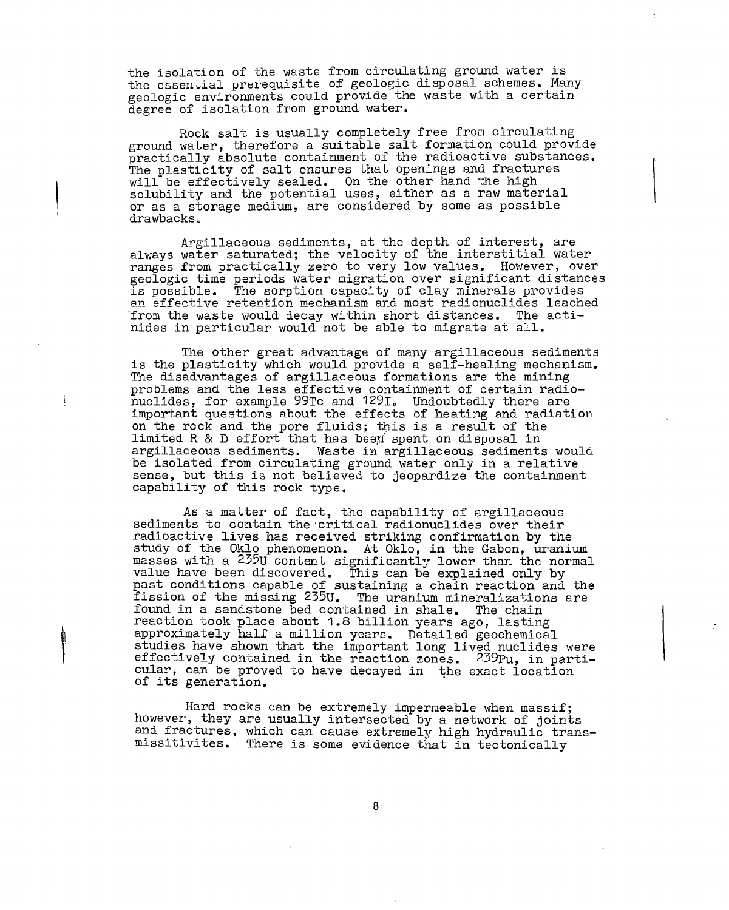the isolation of the waste from circulating ground water is the essential prerequisite of geologic disposal schemes. Many geologic environments could provide the waste with a certain degree of isolation from ground water.

Rock salt is usually completely free from circulating ground water, therefore a suitable salt formation could provide practically absolute containment of the radioactive substances. The plasticity of salt ensures that openings and fractures will be effectively sealed. On the other hand the high solubility and the potential uses, either as a raw material or as a storage medium, are considered by some as possible drawbacks.

Argillaceous sediments, at the depth of interest, are always water saturated; the velocity of the interstitial water ranges from practically zero to very low values. However, over geologic time periods water migration over significant distances is possible. The sorption capacity of clay minerals provides an effective retention mechanism and most radionuclides leached from the waste would decay within short distances. The actinides in particular would not be able to migrate at all.

The other great advantage of many argillaceous sediments is the plasticity which would provide a self-healing mechanism. The disadvantages of argillaceous formations are the mining problems and the less effective containment of certain radionuclides, for example 99Tc and 129l0 Undoubtedly there are important questions about the effects of heating and radiation on the rock and the pore fluids; this is a result of the limited  $R \& D$  effort that has been spent on disposal in argillaceous sediments. Waste in argillaceous sediments would be isolated from circulating ground water only in a relative sense, but this is not believed to jeopardize the containment capability of this rock type.

As a matter of fact, the capability of argillaceous sediments to contain the critical radionuclides over their radioactive lives has received striking confirmation by the study of the Oklo phenomenon. At Oklo, in the Gabon, uranium masses with a 235U content significantly lower than the normal value have been discovered. This can be explained only by past conditions capable of sustaining a chain reaction and the fission of the missing 235U. The uranium mineralizations are fission of the missing  $235U$ . found in a sandstone bed contained in shale. The chain reaction took place about 1.8 billion years ago, lasting approximately half a million years. Detailed geochemical studies have shown that the important long lived nuclides were effectively contained in the reaction zones. 239pu, in particular, can be proved to have decayed in the exact location of its generation.

Hard rocks can be extremely impermeable when massif; however, they are usually intersected by a network of joints and fractures, which can cause extremely high hydraulic transmissitivites. There is some evidence that in tectonically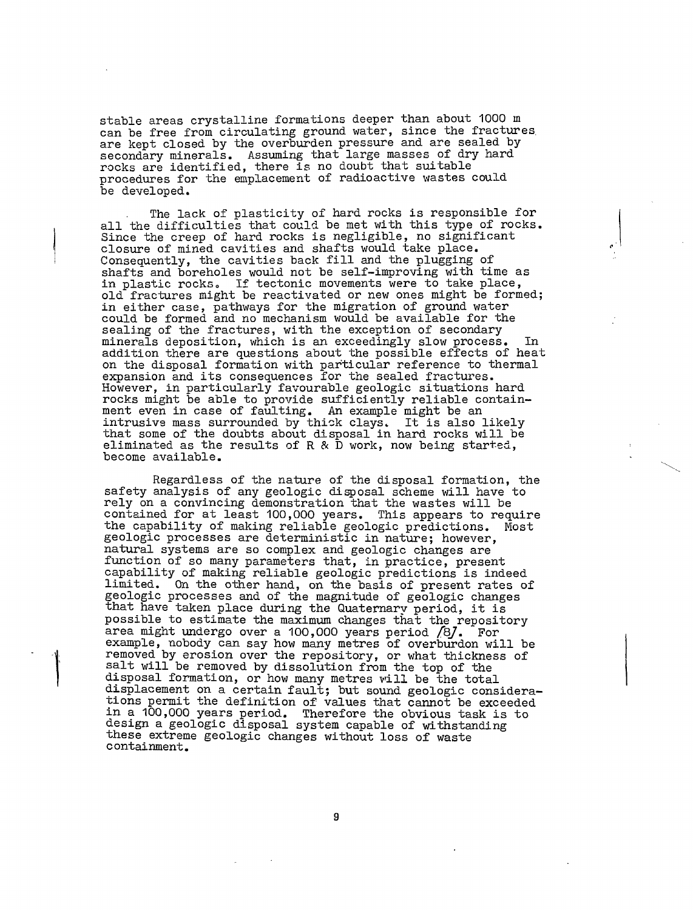stable areas crystalline formations deeper than about 1000 m can be free from circulating ground water, since the fractures are kept closed by the overburden pressure and are sealed by secondary minerals. Assuming that large masses of dry hard rocks are identified, there is no doubt that suitable procedures for the emplacement of radioactive wastes could be developed.

The lack of plasticity of hard rocks is responsible for all the difficulties that could be met with this type of rocks. Since the creep of hard rocks is negligible, no significant closure of mined cavities and shafts would take place. Consequently, the cavities back fill and the plugging of shafts and boreholes would not be self-improving with time as in plastic rocks, If tectonic movements were to take place, old fractures might be reactivated or new ones might be formed; in either case, pathways for the migration of ground water could be formed and no mechanism would be available for the sealing of the fractures, with the exception of secondary minerals deposition, which is an exceedingly slow process. In addition there are questions about the possible effects of heat on the disposal formation with particular reference to thermal expansion and its consequences for the sealed fractures. However, in particularly favourable geologic situations hard rocks might be able to provide sufficiently reliable containment even in case of faulting. An example might be an intrusive mass surrounded by thick clays. It is also likely that some of the doubts about disposal in hard rocks will be eliminated as the results of R  $\&$  D work, now being started, become available.

Regardless of the nature of the disposal formation, the safety analysis of any geologic disposal scheme will have to rely on a convincing demonstration that the wastes will be contained for at least 100,000 years. This appears to require the capability of making reliable geologic predictions. Most geologic processes are deterministic in nature; however, natural systems are so complex and geologic changes are function of so many parameters that, in practice, present capability of making reliable geologic predictions is indeed limited. On the other hand, on the basis of present rates of geologic processes and of the magnitude of geologic changes that have taken place during the Quaternary period, it is possible to estimate the maximum changes that the repository area might undergo over a 100,000 years period /8/. For example, nobody can say how many metres of overburden will be removed by erosion over the repository, or what thickness of salt will be removed by dissolution from the top of the disposal formation, or how many metres will be the total displacement on a certain fault; but sound geologic considerations permit the definition of values that cannot be exceeded in a 100,000 years period. Therefore the obvious task is to -- a resjooo jears period: Therefore and obvious wasn is<br>design a geologic disposal system capable of withstanding these extreme geologic changes without loss of waste containment.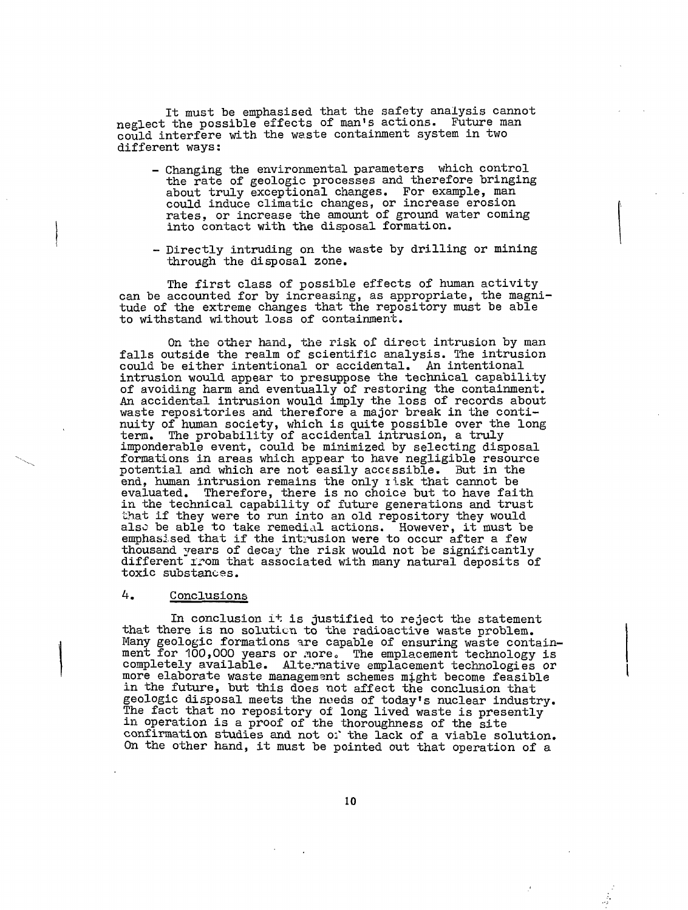It must be emphasised that the safety analysis cannot neglect the possible effects of man's actions. Future man could interfere with the waste containment system in two different ways:

- Changing the environmental parameters which control the rate of geologic processes and therefore bringing about truly exceptional changes. For example, man could induce climatic changes, or increase erosion rates, or increase the amount of ground water coming into contact with the disposal formation.
- ~ Directly intruding on the waste by drilling or mining through the disposal zone.

The first class of possible effects of human activity can be accounted for by increasing, as appropriate, the magnitude of the extreme changes that the repository must be able to withstand without loss of containment.

On the other hand, the risk of direct intrusion by man falls outside the realm of scientific analysis. The intrusion could be either intentional or accidental. An intentional intrusion would appear to presuppose the technical capability of avoiding harm and eventually of restoring the containment. An accidental intrusion would imply the loss of records about waste repositories and therefore a major break in the continuity of human society, which is quite possible over the long term. The probability of accidental intrusion, a truly imponderable event, could be minimized by selecting disposal formations in areas which appear to have negligible resource potential and which are not easily accessible. But in the end, human intrusion remains the only risk that cannot be evaluated. Therefore, there is no choice but to have faith in the technical capability of future generations and trust that if they were to run into an old repository they would also be able to take remedial actions. However, it must be emphasised that if the intrusion were to occur after a few thousand years of decay the risk would not be significantly different" irom that associated with many natural deposits of toxic substances.

## 4. Conclusions

In conclusion it is justified to reject the statement that there is no solution to the radioactive waste problem. Many geologic formations are capable of ensuring waste containment for 100,000 years or nore. The emplacement technology is completely available. Alternative emplacement technologies or more elaborate waste management schemes might become feasible in the future, but this does not affect the conclusion that geologic disposal meets the noeds of today's nuclear industry. The fact that no repository of long lived waste is presently in operation is a proof of the thoroughness of the site confirmation studies and not o:\* the lack of a viable solution. On the other hand, it must be pointed out that operation of a.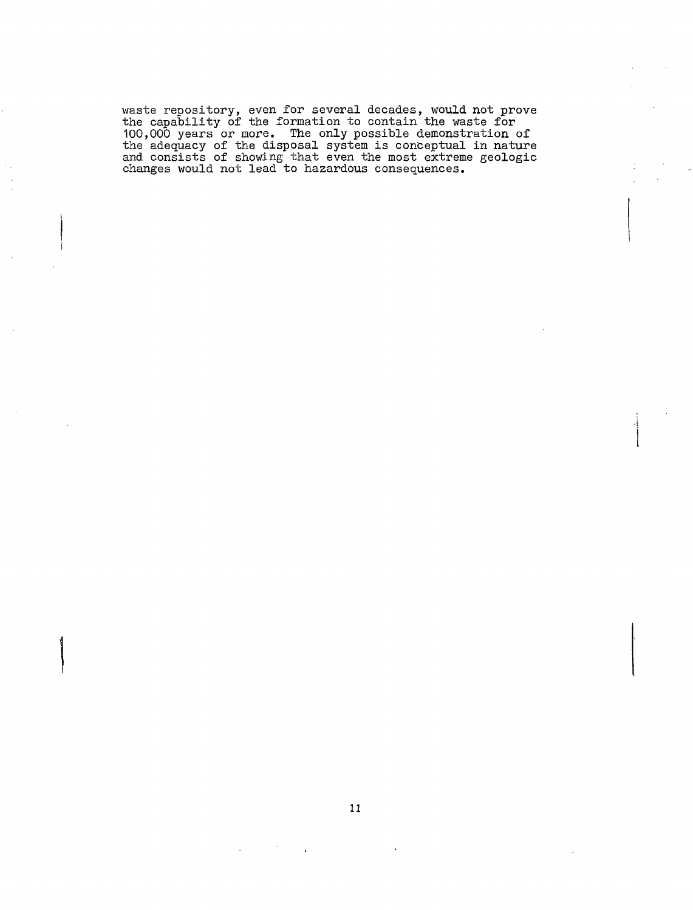waste repository, even for several decades, would not prove the capability of the formation to contain the waste for 100,000 years or more. The only possible demonstration of the adequacy of the disposal system is conceptual in nature and consists of showing that even the most extreme geologic changes would not lead to hazardous consequences.